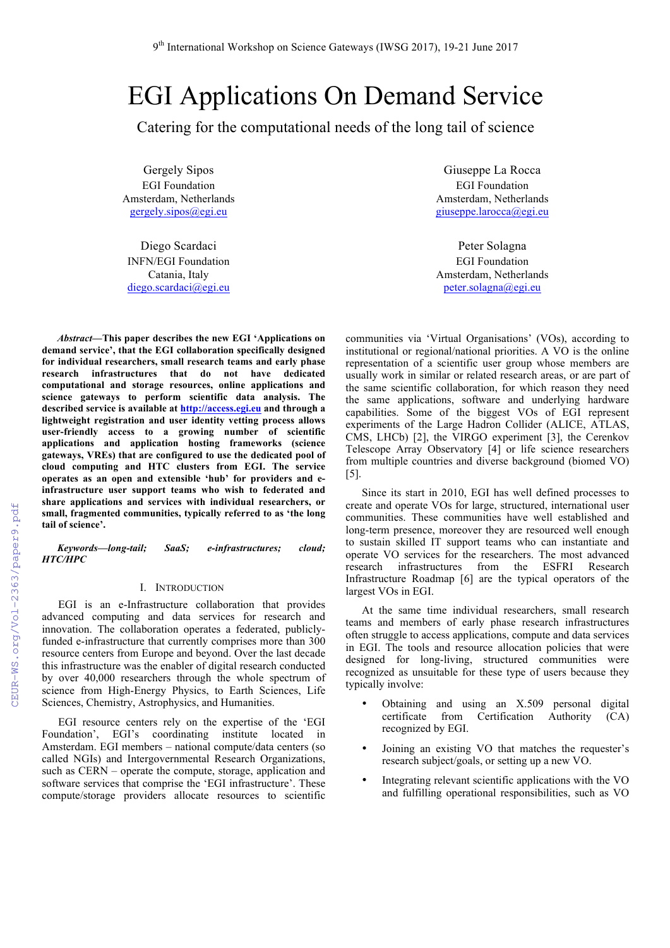# EGI Applications On Demand Service

Catering for the computational needs of the long tail of science

Gergely Sipos EGI Foundation Amsterdam, Netherlands gergely.sipos@egi.eu

Diego Scardaci INFN/EGI Foundation Catania, Italy diego.scardaci@egi.eu

*Abstract***—This paper describes the new EGI 'Applications on demand service', that the EGI collaboration specifically designed for individual researchers, small research teams and early phase research infrastructures that do not have dedicated computational and storage resources, online applications and science gateways to perform scientific data analysis. The described service is available at http://access.egi.eu and through a lightweight registration and user identity vetting process allows user-friendly access to a growing number of scientific applications and application hosting frameworks (science gateways, VREs) that are configured to use the dedicated pool of cloud computing and HTC clusters from EGI. The service operates as an open and extensible 'hub' for providers and einfrastructure user support teams who wish to federated and share applications and services with individual researchers, or small, fragmented communities, typically referred to as 'the long tail of science'.** 

*Keywords—long-tail; SaaS; e-infrastructures; cloud; HTC/HPC*

## I. INTRODUCTION

EGI is an e-Infrastructure collaboration that provides advanced computing and data services for research and innovation. The collaboration operates a federated, publiclyfunded e-infrastructure that currently comprises more than 300 resource centers from Europe and beyond. Over the last decade this infrastructure was the enabler of digital research conducted by over 40,000 researchers through the whole spectrum of science from High-Energy Physics, to Earth Sciences, Life Sciences, Chemistry, Astrophysics, and Humanities.

EGI resource centers rely on the expertise of the 'EGI Foundation', EGI's coordinating institute located in Amsterdam. EGI members – national compute/data centers (so called NGIs) and Intergovernmental Research Organizations, such as CERN – operate the compute, storage, application and software services that comprise the 'EGI infrastructure'. These compute/storage providers allocate resources to scientific

Giuseppe La Rocca EGI Foundation Amsterdam, Netherlands giuseppe.larocca@egi.eu

Peter Solagna EGI Foundation Amsterdam, Netherlands peter.solagna@egi.eu

communities via 'Virtual Organisations' (VOs), according to institutional or regional/national priorities. A VO is the online representation of a scientific user group whose members are usually work in similar or related research areas, or are part of the same scientific collaboration, for which reason they need the same applications, software and underlying hardware capabilities. Some of the biggest VOs of EGI represent experiments of the Large Hadron Collider (ALICE, ATLAS, CMS, LHCb) [2], the VIRGO experiment [3], the Cerenkov Telescope Array Observatory [4] or life science researchers from multiple countries and diverse background (biomed VO) [5].

Since its start in 2010, EGI has well defined processes to create and operate VOs for large, structured, international user communities. These communities have well established and long-term presence, moreover they are resourced well enough to sustain skilled IT support teams who can instantiate and operate VO services for the researchers. The most advanced research infrastructures from the ESFRI Research Infrastructure Roadmap [6] are the typical operators of the largest VOs in EGI.

At the same time individual researchers, small research teams and members of early phase research infrastructures often struggle to access applications, compute and data services in EGI. The tools and resource allocation policies that were designed for long-living, structured communities were recognized as unsuitable for these type of users because they typically involve:

- Obtaining and using an X.509 personal digital<br>certificate from Certification Authority (CA) certificate from Certification Authority (CA) recognized by EGI.
- Joining an existing VO that matches the requester's research subject/goals, or setting up a new VO.
- Integrating relevant scientific applications with the VO and fulfilling operational responsibilities, such as VO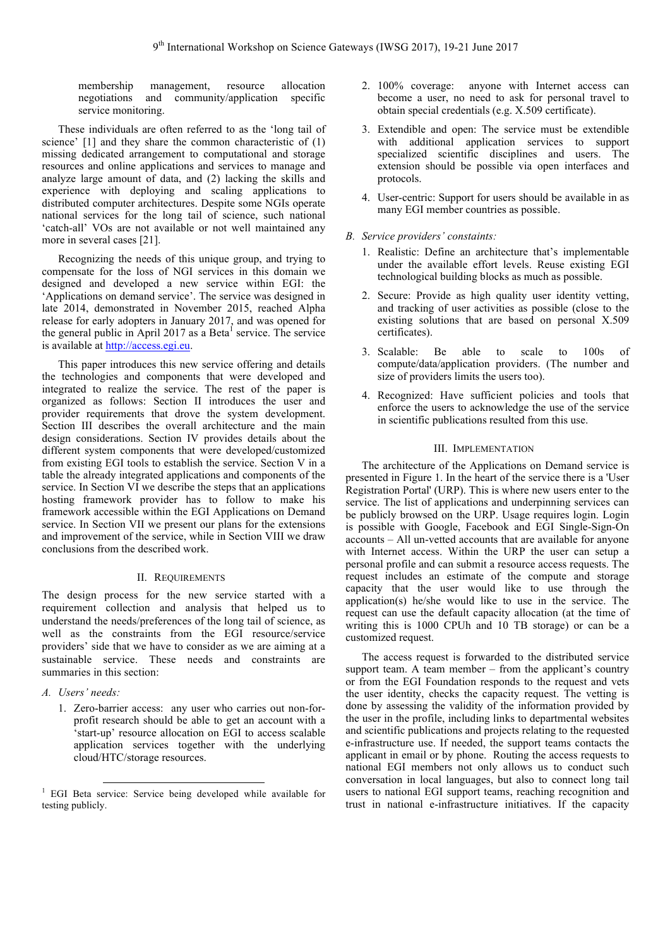membership management, resource allocation negotiations and community/application specific service monitoring.

These individuals are often referred to as the 'long tail of science' [1] and they share the common characteristic of (1) missing dedicated arrangement to computational and storage resources and online applications and services to manage and analyze large amount of data, and (2) lacking the skills and experience with deploying and scaling applications to distributed computer architectures. Despite some NGIs operate national services for the long tail of science, such national 'catch-all' VOs are not available or not well maintained any more in several cases [21].

Recognizing the needs of this unique group, and trying to compensate for the loss of NGI services in this domain we designed and developed a new service within EGI: the 'Applications on demand service'. The service was designed in late 2014, demonstrated in November 2015, reached Alpha release for early adopters in January 2017, and was opened for the general public in April 2017 as a Beta<sup>1</sup> service. The service is available at http://access.egi.eu.

This paper introduces this new service offering and details the technologies and components that were developed and integrated to realize the service. The rest of the paper is organized as follows: Section II introduces the user and provider requirements that drove the system development. Section III describes the overall architecture and the main design considerations. Section IV provides details about the different system components that were developed/customized from existing EGI tools to establish the service. Section V in a table the already integrated applications and components of the service. In Section VI we describe the steps that an applications hosting framework provider has to follow to make his framework accessible within the EGI Applications on Demand service. In Section VII we present our plans for the extensions and improvement of the service, while in Section VIII we draw conclusions from the described work.

## II. REQUIREMENTS

The design process for the new service started with a requirement collection and analysis that helped us to understand the needs/preferences of the long tail of science, as well as the constraints from the EGI resource/service providers' side that we have to consider as we are aiming at a sustainable service. These needs and constraints are summaries in this section:

- *A. Users' needs:* 
	- 1. Zero-barrier access: any user who carries out non-forprofit research should be able to get an account with a 'start-up' resource allocation on EGI to access scalable application services together with the underlying cloud/HTC/storage resources.
- 2. 100% coverage: anyone with Internet access can become a user, no need to ask for personal travel to obtain special credentials (e.g. X.509 certificate).
- 3. Extendible and open: The service must be extendible with additional application services to support specialized scientific disciplines and users. The extension should be possible via open interfaces and protocols.
- 4. User-centric: Support for users should be available in as many EGI member countries as possible.
- *B. Service providers' constaints:* 
	- 1. Realistic: Define an architecture that's implementable under the available effort levels. Reuse existing EGI technological building blocks as much as possible.
	- 2. Secure: Provide as high quality user identity vetting, and tracking of user activities as possible (close to the existing solutions that are based on personal X.509 certificates).
	- 3. Scalable: Be able to scale to 100s of compute/data/application providers. (The number and size of providers limits the users too).
	- 4. Recognized: Have sufficient policies and tools that enforce the users to acknowledge the use of the service in scientific publications resulted from this use.

## III. IMPLEMENTATION

The architecture of the Applications on Demand service is presented in Figure 1. In the heart of the service there is a 'User Registration Portal' (URP). This is where new users enter to the service. The list of applications and underpinning services can be publicly browsed on the URP. Usage requires login. Login is possible with Google, Facebook and EGI Single-Sign-On accounts – All un-vetted accounts that are available for anyone with Internet access. Within the URP the user can setup a personal profile and can submit a resource access requests. The request includes an estimate of the compute and storage capacity that the user would like to use through the application(s) he/she would like to use in the service. The request can use the default capacity allocation (at the time of writing this is 1000 CPUh and  $10$  TB storage) or can be a customized request.

The access request is forwarded to the distributed service support team. A team member – from the applicant's country or from the EGI Foundation responds to the request and vets the user identity, checks the capacity request. The vetting is done by assessing the validity of the information provided by the user in the profile, including links to departmental websites and scientific publications and projects relating to the requested e-infrastructure use. If needed, the support teams contacts the applicant in email or by phone. Routing the access requests to national EGI members not only allows us to conduct such conversation in local languages, but also to connect long tail users to national EGI support teams, reaching recognition and trust in national e-infrastructure initiatives. If the capacity

<sup>&</sup>lt;sup>1</sup> EGI Beta service: Service being developed while available for testing publicly.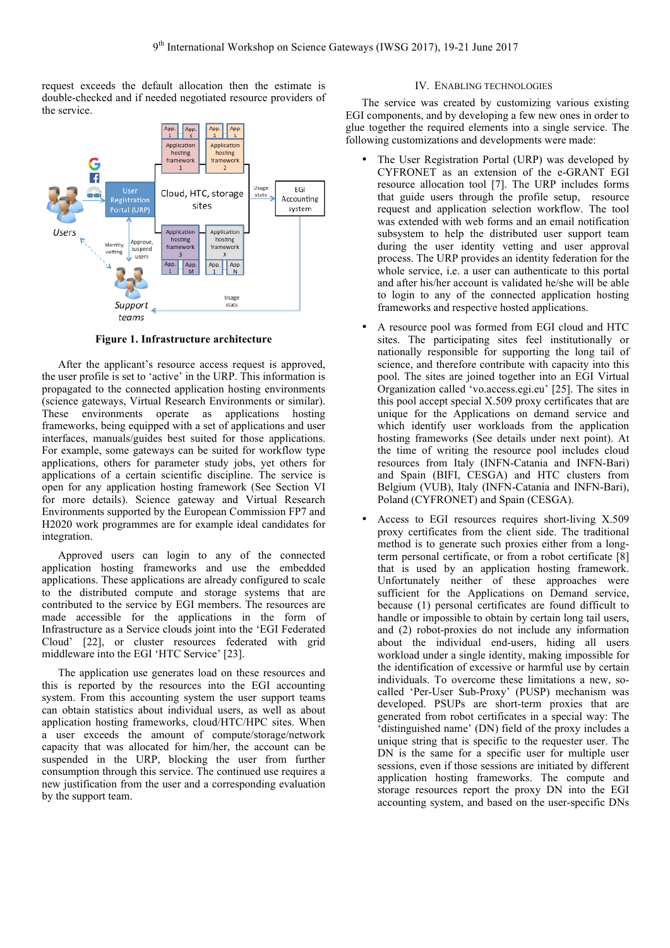request exceeds the default allocation then the estimate is double-checked and if needed negotiated resource providers of the service.



**Figure 1. Infrastructure architecture**

After the applicant's resource access request is approved, the user profile is set to 'active' in the URP. This information is propagated to the connected application hosting environments (science gateways, Virtual Research Environments or similar). These environments operate as applications hosting frameworks, being equipped with a set of applications and user interfaces, manuals/guides best suited for those applications. For example, some gateways can be suited for workflow type applications, others for parameter study jobs, yet others for applications of a certain scientific discipline. The service is open for any application hosting framework (See Section VI for more details). Science gateway and Virtual Research Environments supported by the European Commission FP7 and H2020 work programmes are for example ideal candidates for integration.

Approved users can login to any of the connected application hosting frameworks and use the embedded applications. These applications are already configured to scale to the distributed compute and storage systems that are contributed to the service by EGI members. The resources are made accessible for the applications in the form of Infrastructure as a Service clouds joint into the 'EGI Federated Cloud' [22], or cluster resources federated with grid middleware into the EGI 'HTC Service' [23].

The application use generates load on these resources and this is reported by the resources into the EGI accounting system. From this accounting system the user support teams can obtain statistics about individual users, as well as about application hosting frameworks, cloud/HTC/HPC sites. When a user exceeds the amount of compute/storage/network capacity that was allocated for him/her, the account can be suspended in the URP, blocking the user from further consumption through this service. The continued use requires a new justification from the user and a corresponding evaluation by the support team.

## IV. ENABLING TECHNOLOGIES

The service was created by customizing various existing EGI components, and by developing a few new ones in order to glue together the required elements into a single service. The following customizations and developments were made:

- The User Registration Portal (URP) was developed by CYFRONET as an extension of the e-GRANT EGI resource allocation tool [7]. The URP includes forms that guide users through the profile setup, resource request and application selection workflow. The tool was extended with web forms and an email notification subsystem to help the distributed user support team during the user identity vetting and user approval process. The URP provides an identity federation for the whole service, i.e. a user can authenticate to this portal and after his/her account is validated he/she will be able to login to any of the connected application hosting frameworks and respective hosted applications.
- A resource pool was formed from EGI cloud and HTC sites. The participating sites feel institutionally or nationally responsible for supporting the long tail of science, and therefore contribute with capacity into this pool. The sites are joined together into an EGI Virtual Organization called 'vo.access.egi.eu' [25]. The sites in this pool accept special X.509 proxy certificates that are unique for the Applications on demand service and which identify user workloads from the application hosting frameworks (See details under next point). At the time of writing the resource pool includes cloud resources from Italy (INFN-Catania and INFN-Bari) and Spain (BIFI, CESGA) and HTC clusters from Belgium (VUB), Italy (INFN-Catania and INFN-Bari), Poland (CYFRONET) and Spain (CESGA).
- Access to EGI resources requires short-living X.509 proxy certificates from the client side. The traditional method is to generate such proxies either from a longterm personal certificate, or from a robot certificate [8] that is used by an application hosting framework. Unfortunately neither of these approaches were sufficient for the Applications on Demand service, because (1) personal certificates are found difficult to handle or impossible to obtain by certain long tail users, and (2) robot-proxies do not include any information about the individual end-users, hiding all users workload under a single identity, making impossible for the identification of excessive or harmful use by certain individuals. To overcome these limitations a new, socalled 'Per-User Sub-Proxy' (PUSP) mechanism was developed. PSUPs are short-term proxies that are generated from robot certificates in a special way: The 'distinguished name' (DN) field of the proxy includes a unique string that is specific to the requester user. The DN is the same for a specific user for multiple user sessions, even if those sessions are initiated by different application hosting frameworks. The compute and storage resources report the proxy DN into the EGI accounting system, and based on the user-specific DNs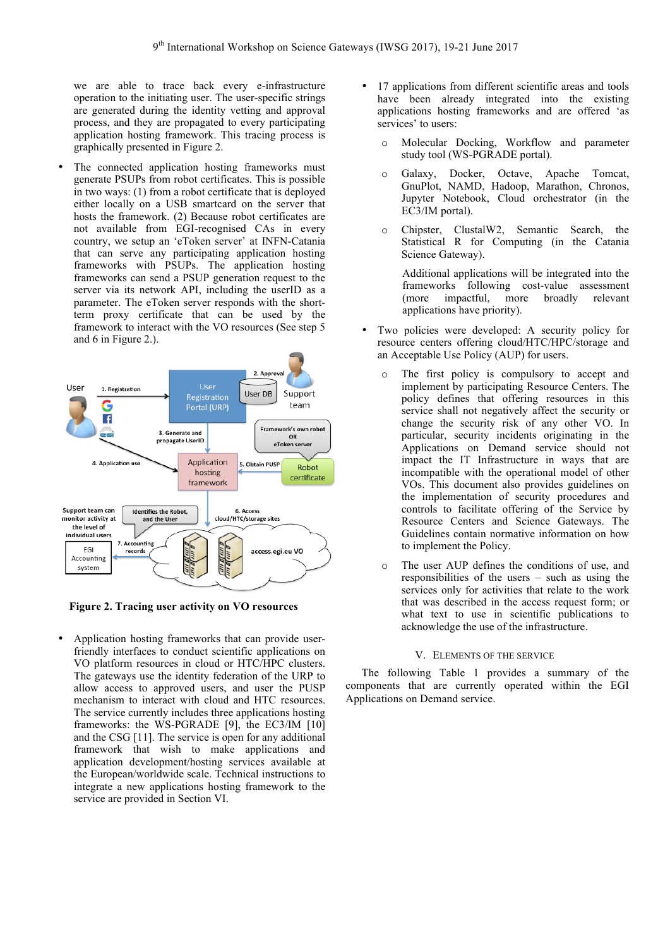we are able to trace back every e-infrastructure operation to the initiating user. The user-specific strings are generated during the identity vetting and approval process, and they are propagated to every participating application hosting framework. This tracing process is graphically presented in Figure 2.

The connected application hosting frameworks must generate PSUPs from robot certificates. This is possible in two ways: (1) from a robot certificate that is deployed either locally on a USB smartcard on the server that hosts the framework. (2) Because robot certificates are not available from EGI-recognised CAs in every country, we setup an 'eToken server' at INFN-Catania that can serve any participating application hosting frameworks with PSUPs. The application hosting frameworks can send a PSUP generation request to the server via its network API, including the userID as a parameter. The eToken server responds with the shortterm proxy certificate that can be used by the framework to interact with the VO resources (See step 5 and 6 in Figure 2.).



**Figure 2. Tracing user activity on VO resources**

• Application hosting frameworks that can provide userfriendly interfaces to conduct scientific applications on VO platform resources in cloud or HTC/HPC clusters. The gateways use the identity federation of the URP to allow access to approved users, and user the PUSP mechanism to interact with cloud and HTC resources. The service currently includes three applications hosting frameworks: the WS-PGRADE [9], the EC3/IM [10] and the CSG [11]. The service is open for any additional framework that wish to make applications and application development/hosting services available at the European/worldwide scale. Technical instructions to integrate a new applications hosting framework to the service are provided in Section VI.

- 17 applications from different scientific areas and tools have been already integrated into the existing applications hosting frameworks and are offered 'as services' to users:
	- o Molecular Docking, Workflow and parameter study tool (WS-PGRADE portal).
	- o Galaxy, Docker, Octave, Apache Tomcat, GnuPlot, NAMD, Hadoop, Marathon, Chronos, Jupyter Notebook, Cloud orchestrator (in the EC3/IM portal).
	- o Chipster, ClustalW2, Semantic Search, the Statistical R for Computing (in the Catania Science Gateway).

Additional applications will be integrated into the frameworks following cost-value assessment (more impactful, more broadly relevant applications have priority).

- Two policies were developed: A security policy for resource centers offering cloud/HTC/HPC/storage and an Acceptable Use Policy (AUP) for users.
	- o The first policy is compulsory to accept and implement by participating Resource Centers. The policy defines that offering resources in this service shall not negatively affect the security or change the security risk of any other VO. In particular, security incidents originating in the Applications on Demand service should not impact the IT Infrastructure in ways that are incompatible with the operational model of other VOs. This document also provides guidelines on the implementation of security procedures and controls to facilitate offering of the Service by Resource Centers and Science Gateways. The Guidelines contain normative information on how to implement the Policy.
	- o The user AUP defines the conditions of use, and responsibilities of the users – such as using the services only for activities that relate to the work that was described in the access request form; or what text to use in scientific publications to acknowledge the use of the infrastructure.

## V. ELEMENTS OF THE SERVICE

The following Table 1 provides a summary of the components that are currently operated within the EGI Applications on Demand service.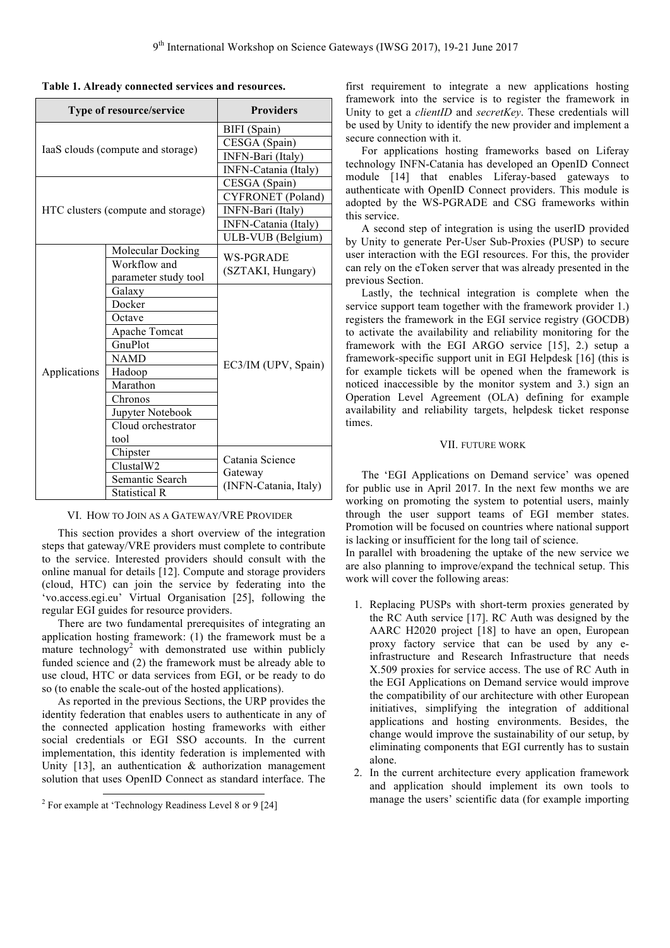| Type of resource/service           |                      | <b>Providers</b>                                    |
|------------------------------------|----------------------|-----------------------------------------------------|
| IaaS clouds (compute and storage)  |                      | BIFI (Spain)                                        |
|                                    |                      | CESGA (Spain)                                       |
|                                    |                      | INFN-Bari (Italy)                                   |
|                                    |                      | INFN-Catania (Italy)                                |
| HTC clusters (compute and storage) |                      | CESGA (Spain)                                       |
|                                    |                      | <b>CYFRONET</b> (Poland)                            |
|                                    |                      | INFN-Bari (Italy)                                   |
|                                    |                      | INFN-Catania (Italy)                                |
|                                    |                      | ULB-VUB (Belgium)                                   |
| Applications                       | Molecular Docking    | <b>WS-PGRADE</b>                                    |
|                                    | Workflow and         | (SZTAKI, Hungary)                                   |
|                                    | parameter study tool |                                                     |
|                                    | Galaxy               | EC3/IM (UPV, Spain)                                 |
|                                    | Docker               |                                                     |
|                                    | Octave               |                                                     |
|                                    | Apache Tomcat        |                                                     |
|                                    | GnuPlot              |                                                     |
|                                    | <b>NAMD</b>          |                                                     |
|                                    | Hadoop               |                                                     |
|                                    | Marathon             |                                                     |
|                                    | Chronos              |                                                     |
|                                    | Jupyter Notebook     |                                                     |
|                                    | Cloud orchestrator   |                                                     |
|                                    | tool                 |                                                     |
|                                    | Chipster             | Catania Science<br>Gateway<br>(INFN-Catania, Italy) |
|                                    | ClustalW2            |                                                     |
|                                    | Semantic Search      |                                                     |
|                                    | <b>Statistical R</b> |                                                     |

#### VI. HOW TO JOIN AS A GATEWAY/VRE PROVIDER

This section provides a short overview of the integration steps that gateway/VRE providers must complete to contribute to the service. Interested providers should consult with the online manual for details [12]. Compute and storage providers (cloud, HTC) can join the service by federating into the 'vo.access.egi.eu' Virtual Organisation [25], following the regular EGI guides for resource providers.

There are two fundamental prerequisites of integrating an application hosting framework: (1) the framework must be a mature technology<sup>2</sup> with demonstrated use within publicly funded science and (2) the framework must be already able to use cloud, HTC or data services from EGI, or be ready to do so (to enable the scale-out of the hosted applications).

As reported in the previous Sections, the URP provides the identity federation that enables users to authenticate in any of the connected application hosting frameworks with either social credentials or EGI SSO accounts. In the current implementation, this identity federation is implemented with Unity  $[13]$ , an authentication & authorization management solution that uses OpenID Connect as standard interface. The

first requirement to integrate a new applications hosting framework into the service is to register the framework in Unity to get a *clientID* and *secretKey*. These credentials will be used by Unity to identify the new provider and implement a secure connection with it.

For applications hosting frameworks based on Liferay technology INFN-Catania has developed an OpenID Connect module [14] that enables Liferay-based gateways to authenticate with OpenID Connect providers. This module is adopted by the WS-PGRADE and CSG frameworks within this service.

A second step of integration is using the userID provided by Unity to generate Per-User Sub-Proxies (PUSP) to secure user interaction with the EGI resources. For this, the provider can rely on the eToken server that was already presented in the previous Section.

Lastly, the technical integration is complete when the service support team together with the framework provider 1.) registers the framework in the EGI service registry (GOCDB) to activate the availability and reliability monitoring for the framework with the EGI ARGO service [15], 2.) setup a framework-specific support unit in EGI Helpdesk [16] (this is for example tickets will be opened when the framework is noticed inaccessible by the monitor system and 3.) sign an Operation Level Agreement (OLA) defining for example availability and reliability targets, helpdesk ticket response times.

#### VII. FUTURE WORK

The 'EGI Applications on Demand service' was opened for public use in April 2017. In the next few months we are working on promoting the system to potential users, mainly through the user support teams of EGI member states. Promotion will be focused on countries where national support is lacking or insufficient for the long tail of science.

In parallel with broadening the uptake of the new service we are also planning to improve/expand the technical setup. This work will cover the following areas:

- 1. Replacing PUSPs with short-term proxies generated by the RC Auth service [17]. RC Auth was designed by the AARC H2020 project [18] to have an open, European proxy factory service that can be used by any einfrastructure and Research Infrastructure that needs X.509 proxies for service access. The use of RC Auth in the EGI Applications on Demand service would improve the compatibility of our architecture with other European initiatives, simplifying the integration of additional applications and hosting environments. Besides, the change would improve the sustainability of our setup, by eliminating components that EGI currently has to sustain alone.
- 2. In the current architecture every application framework and application should implement its own tools to manage the users' scientific data (for example importing

 <sup>2</sup> For example at 'Technology Readiness Level 8 or 9 [24]